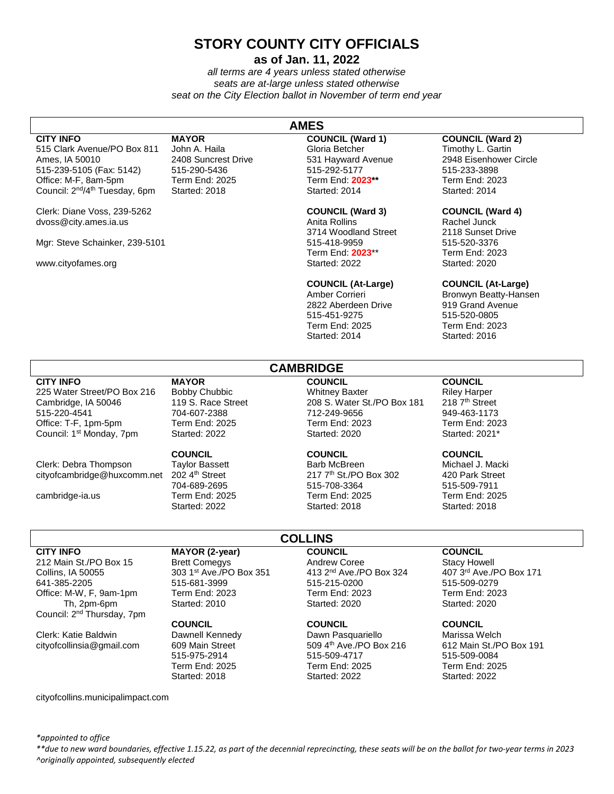# **STORY COUNTY CITY OFFICIALS**

**as of Jan. 11, 2022**

*all terms are 4 years unless stated otherwise seats are at-large unless stated otherwise seat on the City Election ballot in November of term end year*

515 Clark Avenue/PO Box 811 John A. Haila Gloria Betcher Timothy L. Gartin 515-239-5105 (Fax: 5142) 515-290-5436 515-292-5177 515-233-3898 Office: M-F, 8am-5pm Term End: 2025 Term End: **2023\*\*** Term End: 2023 Council: 2nd/4th Tuesday, 6pm Started: 2018 Started: 2014 Started: 2014

Clerk: Diane Voss, 239-5262 **COUNCIL (Ward 3) COUNCIL (Ward 4)** dvoss@city.ames.ia.us Anita Rollins Anita Rollins Rachel Junck

Mgr: Steve Schainker, 239-5101 515-418-9959 515-418-9959 515-520-3376

# **AMES**

3714 Woodland Street 2118 Sunset Drive Term End: **2023**\*\* Term End: 2023 www.cityofames.org Started: 2022 Started: 2020

2822 Aberdeen Drive 515-451-9275 515-520-0805 Term End: 2025 Term End: 2023 Started: 2014 Started: 2016

# **CITY INFO MAYOR COUNCIL (Ward 1) COUNCIL (Ward 2)**

2948 Eisenhower Circle

# **COUNCIL (At-Large) COUNCIL (At-Large)**

Amber Corrieri **Bronwyn Beatty-Hansen**<br>2822 Aberdeen Drive **Bron**g 919 Grand Avenue

225 Water Street/PO Box 216 Bobby Chubbic Whitney Baxter Riley Harper Cambridge, IA 50046 119 S. Race Street 208 S. Water St./PO Box 181 218 7<sup>th</sup> Street 515-220-4541 704-607-2388 712-249-9656 949-463-1173 Office: T-F, 1pm-5pm Term End: 2025 Term End: 2023 Term End: 2023

Clerk: Debra Thompson Taylor Bassett Barb McBreen Barb McBreen Michael J. Mack<br>cityofcambridge@huxcomm.net 202 4<sup>th</sup> Street 217 7<sup>th</sup> St./PO Box 302 420 Park Street cityofcambridge@huxcomm.net 202 4<sup>th</sup> Street 217 7<sup>th</sup> St./PO Box 302 420 Park Street<br>215-509-7911 704-689-2695 515-708-3364 515-509-7911

**CITY INFO MAYOR COUNCIL COUNCIL** Council: 1st Monday, 7pm Started: 2022 Started: 2020 Started: 2021\*

**CAMBRIDGE**

**COLLINS**

**COUNCIL COUNCIL COUNCIL** 704-689-2695 515-708-3364 515-509-7911 cambridge-ia.us Term End: 2025 Term End: 2025 Term End: 2025 Started: 2018

212 Main St./PO Box 15 Brett Comegys Andrew Coree Stacy Howell<br>12 Collins. IA 50055 Collins. A 50055 Collins. IA 50055 Andrew Andrew Andrew Andrew Andrew Andrew Andrew Age 641-385-2205 515-681-3999 515-215-0200 515-509-0279 Office: M-W, F, 9am-1pm Term End: 2023 Term End: 2023 Term End: 2023 Th, 2pm-6pm Started: 2010 Started: 2020 Started: 2020 Council: 2<sup>nd</sup> Thursday, 7pm

Clerk: Katie Baldwin Dawnell Kennedy Dawn Pasquariello Marissa Welch

cityofcollins.municipalimpact.com

**CITY INFO MAYOR (2-year) <b>COUNCIL COUNCIL COUNCIL COUNCIL COUNCIL COUNCIL COUNCIL COUNCIL COUNCIL COUNCIL COUNCIL COUNCIL** 

# **COUNCIL COUNCIL COUNCIL**

515-975-2914 515-509-4717 515-509-0084 Term End: 2025 Term End: 2025 Term End: 2025 Started: 2018 Started: 2022 Started: 2022

407 3rd Ave./PO Box 171

cityofcollinsia@gmail.com 609 Main Street 509 4<sup>th</sup> Ave./PO Box 216 612 Main St./PO Box 191<br>515-509-0084 515-509-4717 515-509-0084

*\*appointed to office*

*\*\*due to new ward boundaries, effective 1.15.22, as part of the decennial reprecincting, these seats will be on the ballot for two-year terms in 2023 ^originally appointed, subsequently elected*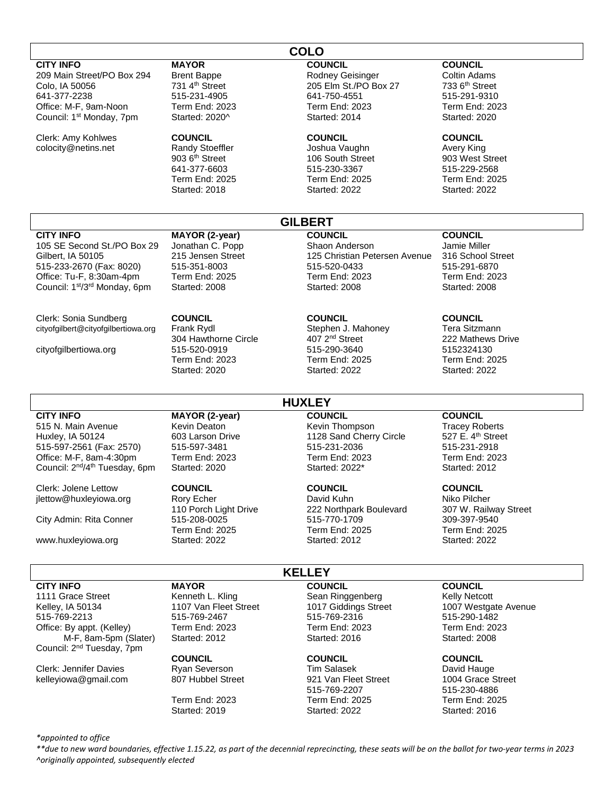209 Main Street/PO Box 294 Brent Bappe **Rodney Geisinger** Coltin Adams Colo, IA 50056 731 4th Street 205 Elm St./PO Box 27 733 6th Street 641-377-2238 515-231-4905 641-750-4551 515-291-9310 Office: M-F, 9am-Noon Term End: 2023 Term End: 2023 Term End: 2023<br>Council: 1<sup>st</sup> Mondav. 7pm Started: 2020^ Started: 2014 Started: 2020 Council: 1st Monday, 7pm Started: 2020^ Started: 2014 Started: 2020

Clerk: Amy Kohlwes **COUNCIL COUNCIL COUNCIL** colocity@netins.net **Randy Stoeffler** Avery Joshua Vaughn Avery King

# **COLO**

**CITY INFO MAYOR COUNCIL COUNCIL**

641-377-6603 515-230-3367 515-229-2568

903 6<sup>th</sup> Street 106 South Street 903 West Street Term End: 2025 Term End: 2025 Term End: 2025 Started: 2018 Started: 2022 Started: 2022

Council: 1<sup>st</sup>/3<sup>rd</sup> Monday, 6pm

Clerk: Sonia Sundberg **COUNCIL COUNCIL COUNCIL** cityofgilbert@cityofgilbertiowa.org Frank Rydl Stephen J. Mahoney Tera Sitzmann

**CITY INFO MAYOR (2-year) COUNCIL COUNCIL** 105 SE Second St./PO Box 29 Jonathan C. Popp Shaon Anderson Shaon Anderson Jamie Miller Gilbert, IA 50105 215 Jensen Street 125 Christian Petersen Avenue 316 School Street 515-233-2670 (Fax: 8020) 515-351-8003 515-520-0433 515-291-6870 Office: Tu-F, 8:30am-4pm Term End: 2025 Term End: 2023 Term End: 2023<br>Council: 1st/3<sup>rd</sup> Mondav. 6pm Started: 2008 Started: 2008 Started: 2008 Started: 2008

304 Hawthorne Circle  $407$  2<sup>nd</sup> Street  $222$  Mathews Drive cityofgilbertiowa.org 515-520-0919 515-290-3640 5152324130 Term End: 2023 Term End: 2025 Term End: 2025 Started: 2020 Started: 2022 Started: 2022

# **CITY INFO MAYOR (2-year) COUNCIL COUNCIL** 515 N. Main Avenue Kevin Deaton Kevin Thompson Tracey Roberts Huxley, IA 50124 603 Larson Drive 1128 Sand Cherry Circle 527 E. 4th Street 515-597-2561 (Fax: 2570) 515-597-3481 515-231-2036 515-231-2918

Office: M-F, 8am-4:30pm Term End: 2023 Term End: 2023 Term End: 2023 Council: 2nd/4th Tuesday, 6pm Started: 2020 Started: 2022\* Started: 2012

Clerk: Jolene Lettow **COUNCIL COUNCIL COUNCIL** jlettow@huxleyiowa.org **Rory Echer Rory Echer** David Kuhn Niko Pilcher

City Admin: Rita Conner 515-208-0025 515-770-1709 309-397-9540

www.huxleyiowa.org

110 Porch Light Drive 222 Northpark Boulevard 307 W. Railway Street Term End: 2025 Term End: 2025 Term End: 2025

1111 Grace Street The Kenneth L. Kling Sean Ringgenberg Care Kelly Netcott<br>Kelley, IA 50134 The Street Street The Street The Street Street Street Street Street Street Street Allen Street Kelley, IA 50134 1107 Van Fleet Street 1017 Giddings Street 1007 Westgate Avenue<br>115-769-2213 515-769-2467 515-769-2316 515-769-2316 515-769-2213 515-769-2467 515-769-2316 515-290-1482 Office: By appt. (Kelley) Term End: 2023 Term End: 2023 Term End: 2023 M-F, 8am-5pm (Slater) Started: 2012 Started: 2016 Started: 2008 Council: 2nd Tuesday, 7pm

Clerk: Jennifer Davies Ryan Severson Tim Salasek David Hauge kelleyiowa@gmail.com 807 Hubbel Street 921 Van Fleet Street 1004 Grace Street

**COUNCIL COUNCIL COUNCIL**

515-769-2207 515-230-4886 Term End: 2023 Term End: 2025 Term End: 2025 Started: 2022

*\*appointed to office*

*\*\*due to new ward boundaries, effective 1.15.22, as part of the decennial reprecincting, these seats will be on the ballot for two-year terms in 2023 ^originally appointed, subsequently elected*

**HUXLEY**

**GILBERT**

**KELLEY CITY INFO MAYOR COUNCIL COUNCIL**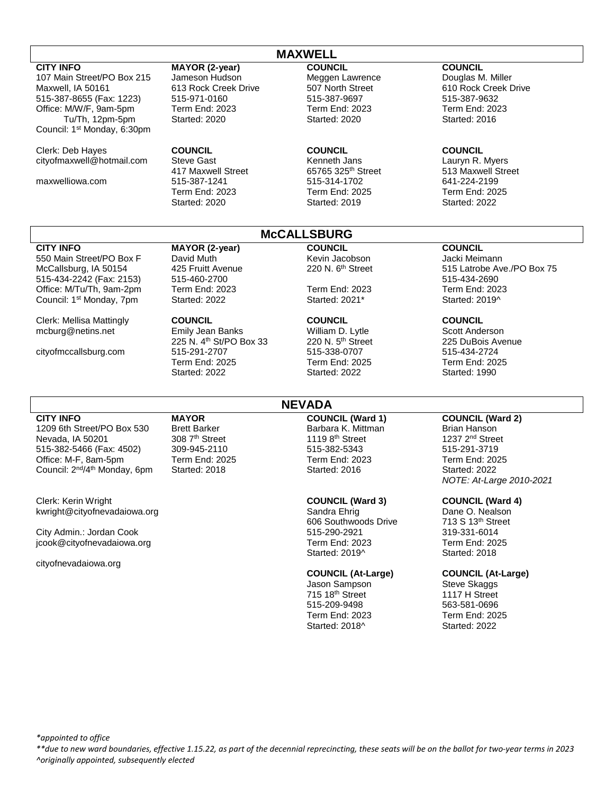107 Main Street/PO Box 215 Jameson Hudson Meggen Lawrence Maxwell, IA 50161 613 Rock Creek Drive 507 North Street 610 Rock Creek Drive 515-387-8655 (Fax: 1223) 515-971-0160 515-387-9697 515-387-9632 Office: M/W/F, 9am-5pm Term End: 2023 Term End: 2023 Term End: 2023 Tu/Th, 12pm-5pm Started: 2020 Started: 2020 Started: 2016 Council: 1st Monday, 6:30pm

Clerk: Deb Hayes **COUNCIL COUNCIL COUNCIL**

**CITY INFO MAYOR (2-year) COUNCIL COUNCIL**

# **MAXWELL**

cityofmaxwell@hotmail.com Steve Gast Kenneth Jans Lauryn R. Myers<br>417 Maxwell Street 65765 325<sup>th</sup> Street 513 Maxwell Stre maxwelliowa.com 515-387-1241 515-314-1702 641-224-2199 Term End: 2023 Term End: 2025 Term End: 2025 Started: 2020 Started: 2019 Started: 2022

417 Maxwell Street 65765 325th Street 513 Maxwell Street

550 Main Street/PO Box F David Muth  $\sim$  Kevin Jacobson Jacki Meimann McCallsburg, IA 50154  $\sim$  425 Fruitt Avenue 220 N. 6<sup>th</sup> Street 515 Latrobe Av 515-434-2242 (Fax: 2153) 515-460-2700 515-434-2690 Office: M/Tu/Th, 9am-2pm Term End: 2023 Term End: 2023 Term End: 2023 Council: 1st Monday, 7pm Started: 2022 Started: 2021\* Started: 2019^

Clerk: Mellisa Mattingly **COUNCIL COUNCIL COUNCIL** mcburg@netins.net Emily Jean Banks William D. Lytle Scott Anderson

cityofmccallsburg.com 515-291-2707 515-338-0707 515-434-2724

# **McCALLSBURG**

**CITY INFO MAYOR (2-year) COUNCIL COUNCIL**

# **NEVADA**

1209 6th Street/PO Box 530 Brett Barker Barbara K. Mittman Brian Hanson<br>Nevada. IA 50201 308 7<sup>th</sup> Street 1119 8<sup>th</sup> Street 1237 2<sup>nd</sup> Stre Nevada, IA 50201 308 7<sup>th</sup> Street 1119 8<sup>th</sup> Street 1237 2<sup>nd</sup> Street 515-382-5466 (Fax: 4502) 309-945-2110 515-382-5343 515-291-3719 Office: M-F, 8am-5pm Term End: 2025 Term End: 2023 Term End: 2025 Council: 2nd/4th Monday, 6pm Started: 2018 Started: 2016 Started: 2022

606 Southwoods Drive 713 S 13th Street

Jason Sampson Steve Skaggs 715 18<sup>th</sup> Street 1117 H Street 515-209-9498 563-581-0696 Term End: 2023 Term End: 2025 Started: 2018^ Started: 2022

McCallsburg, IA 50154 425 Fruitt Avenue 220 N. 6<sup>th</sup> Street 515 Latrobe Ave./PO Box 75

225 N.  $4<sup>th</sup>$  St/PO Box 33 220 N.  $5<sup>th</sup>$  Street 225 DuBois Avenue

# **CITY INFO MAYOR COUNCIL (Ward 1) COUNCIL (Ward 2)**

*NOTE: At-Large 2010-2021*

Started: 2019^ Started: 2018

# **COUNCIL (At-Large) COUNCIL (At-Large)**

Clerk: Kerin Wright **COUNCIL (Ward 3) COUNCIL (Ward 4)** kwright@cityofnevadaiowa.org **Sandra Ehrig Dane O. Nealson** Sandra Ehrig

City Admin.: Jordan Cook 515-290-2921 319-331-6014 jcook@cityofnevadaiowa.org **Term End: 2023** Term End: 2023 Term End: 2025

cityofnevadaiowa.org

*\*appointed to office*

*\*\*due to new ward boundaries, effective 1.15.22, as part of the decennial reprecincting, these seats will be on the ballot for two-year terms in 2023 ^originally appointed, subsequently elected*

Term End: 2025 Term End: 2025 Term End: 2025 Started: 2022 Started: 2022 Started: 1990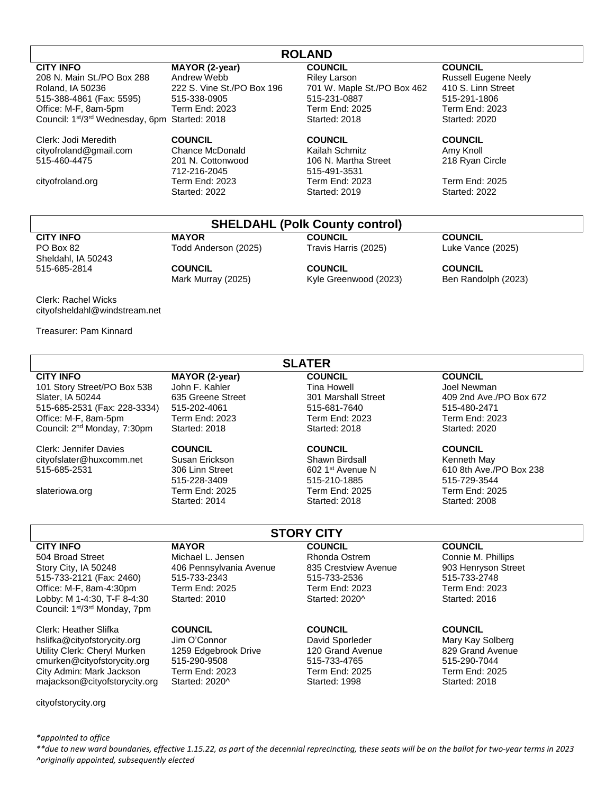208 N. Main St./PO Box 288 Andrew Webb Riley Larson Russell Eugene Neely Roland, IA 50236 222 S. Vine St./PO Box 196 701 W. Maple St./PO Box 462 410 S. Linn Street 515-388-4861 (Fax: 5595) 515-338-0905 515-231-0887 515-291-1806 Office: M-F, 8am-5pm Term End: 2023 Term End: 2025 Term End: 2023 Council: 1<sup>st</sup>/3<sup>rd</sup> Wednesday, 6pm Started: 2018 Started: 2018 Started: 2020

Clerk: Jodi Meredith **COUNCIL COUNCIL COUNCIL** cityofroland@gmail.com Chance McDonald Kailah Schmitz Amy Knoll 515-460-4475 201 N. Cottonwood 106 N. Martha Street 218 Ryan Circle

**CITY INFO MAYOR (2-year) COUNCIL COUNCIL**

# 712-216-2045 515-491-3531

# **ROLAND**

**SHELDAHL (Polk County control)**

cityofroland.org Term End: 2023 Term End: 2023 Term End: 2025 Started: 2022 Started: 2019 Started: 2022

# **CITY INFO MAYOR COUNCIL COUNCIL** Sheldahl, IA 50243

PO Box 82 Todd Anderson (2025) Travis Harris (2025) Luke Vance (2025)

515-685-2814 **COUNCIL COUNCIL COUNCIL**

Mark Murray (2025) Kyle Greenwood (2023) Ben Randolph (2023)

Clerk: Rachel Wicks cityofsheldahl@windstream.net

Treasurer: Pam Kinnard

101 Story Street/PO Box 538 John F. Kahler Tina Howell Tina Howell Joel Newman Slater, IA 50244 635 Greene Street 301 Marshall Street 409 2nd Ave./PO Box 672 515-685-2531 (Fax: 228-3334) 515-202-4061 515-681-7640 515-480-2471 Office: M-F, 8am-5pm Term End: 2023 Term End: 2023 Term End: 2023 Council: 2<sup>nd</sup> Monday, 7:30pm Started: 2018 Started: 2018 Started: 2020

**COUNCIL COUNCIL COUNCIL COUNCIL COUNCIL COUNCIL COUNCIL COUNCIL COUNCIL COUNCIL COUNCIL COUNCIL COUNCIL COUNCIL COUNCIL** cityofslater@huxcomm.net Susan Erickson Shawn Birdsall Kenneth May<br>515-685-2531 306 Linn Street 602 1<sup>st</sup> Avenue N 610 8th Ave./

**CITY INFO MAYOR (2-year) COUNCIL COUNCIL**

515-228-3409 515-210-1885 515-729-3544 slateriowa.org Term End: 2025 Term End: 2025 Term End: 2025 Started: 2014 Started: 2018

# **SLATER**

515-685-2531 306 Linn Street 602 1st Avenue N 610 8th Ave./PO Box 238<br>515-685-279-3544 515-228-3409 515-210-1885 515-729-3544

504 Broad Street **1988 Michael L. Jensen** Rhonda Ostrem Connie M. Phillips<br>
Story City, IA 50248 406 Pennsylvania Avenue 835 Crestyiew Avenue 903 Henryson Stre Story City, IA 50248 406 Pennsylvania Avenue 835 Crestview Avenue 903 Henryson Street 515-733-2121 (Fax: 2460) 515-733-2343 515-733-2536 515-733-2748 Office: M-F, 8am-4:30pm Term End: 2025 Term End: 2023 Term End: 2023 Lobby: M 1-4:30, T-F 8-4:30 Started: 2010 Started: 2020^ Started: 2016 Council: 1st/3rd Monday, 7pm

Clerk: Heather Slifka **COUNCIL COUNCIL COUNCIL** hslifka@cityofstorycity.org Jim O'Connor David Sporleder Mary Kay Solberg Utility Clerk: Cheryl Murken 1259 Edgebrook Drive 120 Grand Avenue 829 Grand Avenue cmurken@cityofstorycity.org 515-290-9508 515-733-4765 515-290-7044 City Admin: Mark Jackson Term End: 2023 Term End: 2025 Term End: 2025 majackson@cityofstorycity.org Started: 2020^ Started: 1998 Started: 2018

cityofstorycity.org

**CITY INFO MAYOR COUNCIL COUNCIL**

# **STORY CITY**

*\*appointed to office*

*\*\*due to new ward boundaries, effective 1.15.22, as part of the decennial reprecincting, these seats will be on the ballot for two-year terms in 2023 ^originally appointed, subsequently elected*